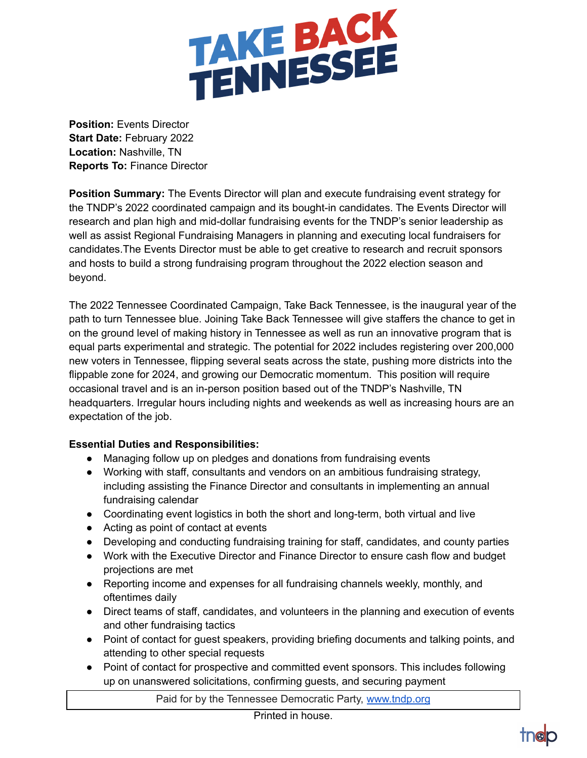

**Position:** Events Director **Start Date:** February 2022 **Location:** Nashville, TN **Reports To:** Finance Director

**Position Summary:** The Events Director will plan and execute fundraising event strategy for the TNDP's 2022 coordinated campaign and its bought-in candidates. The Events Director will research and plan high and mid-dollar fundraising events for the TNDP's senior leadership as well as assist Regional Fundraising Managers in planning and executing local fundraisers for candidates.The Events Director must be able to get creative to research and recruit sponsors and hosts to build a strong fundraising program throughout the 2022 election season and beyond.

The 2022 Tennessee Coordinated Campaign, Take Back Tennessee, is the inaugural year of the path to turn Tennessee blue. Joining Take Back Tennessee will give staffers the chance to get in on the ground level of making history in Tennessee as well as run an innovative program that is equal parts experimental and strategic. The potential for 2022 includes registering over 200,000 new voters in Tennessee, flipping several seats across the state, pushing more districts into the flippable zone for 2024, and growing our Democratic momentum. This position will require occasional travel and is an in-person position based out of the TNDP's Nashville, TN headquarters. Irregular hours including nights and weekends as well as increasing hours are an expectation of the job.

## **Essential Duties and Responsibilities:**

- Managing follow up on pledges and donations from fundraising events
- Working with staff, consultants and vendors on an ambitious fundraising strategy, including assisting the Finance Director and consultants in implementing an annual fundraising calendar
- Coordinating event logistics in both the short and long-term, both virtual and live
- Acting as point of contact at events
- Developing and conducting fundraising training for staff, candidates, and county parties
- Work with the Executive Director and Finance Director to ensure cash flow and budget projections are met
- Reporting income and expenses for all fundraising channels weekly, monthly, and oftentimes daily
- Direct teams of staff, candidates, and volunteers in the planning and execution of events and other fundraising tactics
- Point of contact for guest speakers, providing briefing documents and talking points, and attending to other special requests
- Point of contact for prospective and committed event sponsors. This includes following up on unanswered solicitations, confirming guests, and securing payment

Paid for by the Tennessee Democratic Party, [www.tndp.org](http://www.tndp.org/)

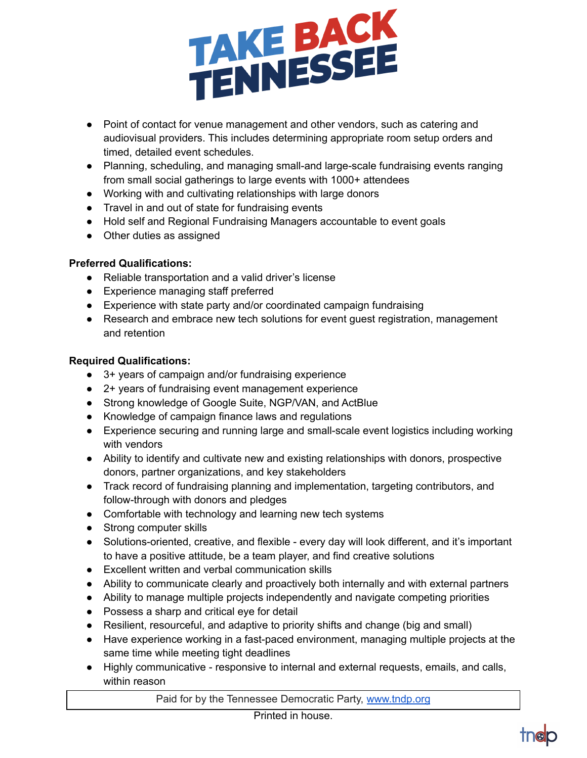

- Point of contact for venue management and other vendors, such as catering and audiovisual providers. This includes determining appropriate room setup orders and timed, detailed event schedules.
- Planning, scheduling, and managing small-and large-scale fundraising events ranging from small social gatherings to large events with 1000+ attendees
- Working with and cultivating relationships with large donors
- Travel in and out of state for fundraising events
- Hold self and Regional Fundraising Managers accountable to event goals
- Other duties as assigned

## **Preferred Qualifications:**

- Reliable transportation and a valid driver's license
- Experience managing staff preferred
- Experience with state party and/or coordinated campaign fundraising
- Research and embrace new tech solutions for event guest registration, management and retention

## **Required Qualifications:**

- 3+ years of campaign and/or fundraising experience
- 2+ years of fundraising event management experience
- Strong knowledge of Google Suite, NGP/VAN, and ActBlue
- Knowledge of campaign finance laws and regulations
- Experience securing and running large and small-scale event logistics including working with vendors
- Ability to identify and cultivate new and existing relationships with donors, prospective donors, partner organizations, and key stakeholders
- Track record of fundraising planning and implementation, targeting contributors, and follow-through with donors and pledges
- Comfortable with technology and learning new tech systems
- Strong computer skills
- Solutions-oriented, creative, and flexible every day will look different, and it's important to have a positive attitude, be a team player, and find creative solutions
- Excellent written and verbal communication skills
- Ability to communicate clearly and proactively both internally and with external partners
- Ability to manage multiple projects independently and navigate competing priorities
- Possess a sharp and critical eye for detail
- Resilient, resourceful, and adaptive to priority shifts and change (big and small)
- Have experience working in a fast-paced environment, managing multiple projects at the same time while meeting tight deadlines
- Highly communicative responsive to internal and external requests, emails, and calls, within reason

Paid for by the Tennessee Democratic Party, [www.tndp.org](http://www.tndp.org/)